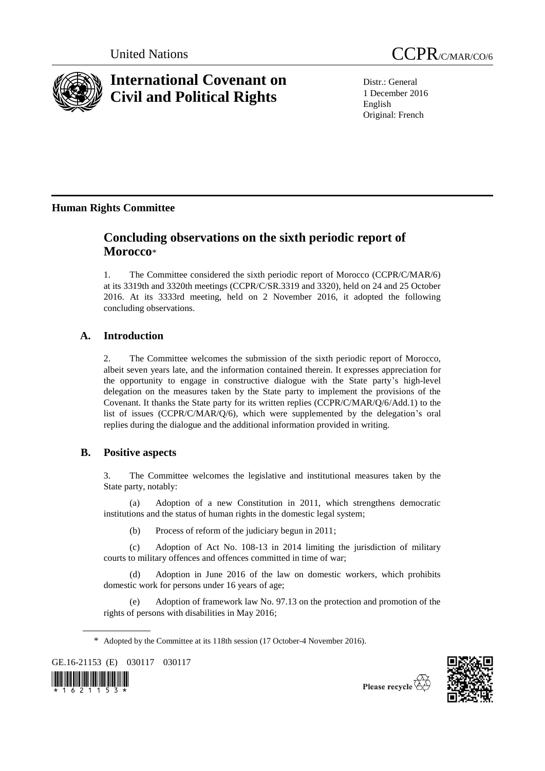

# **International Covenant on Civil and Political Rights**



Distr.: General 1 December 2016 English Original: French

# **Human Rights Committee**

# **Concluding observations on the sixth periodic report of Morocco**\*

1. The Committee considered the sixth periodic report of Morocco (CCPR/C/MAR/6) at its 3319th and 3320th meetings (CCPR/C/SR.3319 and 3320), held on 24 and 25 October 2016. At its 3333rd meeting, held on 2 November 2016, it adopted the following concluding observations.

# **A. Introduction**

2. The Committee welcomes the submission of the sixth periodic report of Morocco, albeit seven years late, and the information contained therein. It expresses appreciation for the opportunity to engage in constructive dialogue with the State party's high-level delegation on the measures taken by the State party to implement the provisions of the Covenant. It thanks the State party for its written replies (CCPR/C/MAR/Q/6/Add.1) to the list of issues (CCPR/C/MAR/Q/6), which were supplemented by the delegation's oral replies during the dialogue and the additional information provided in writing.

# **B. Positive aspects**

3. The Committee welcomes the legislative and institutional measures taken by the State party, notably:

(a) Adoption of a new Constitution in 2011, which strengthens democratic institutions and the status of human rights in the domestic legal system;

(b) Process of reform of the judiciary begun in 2011;

(c) Adoption of Act No. 108-13 in 2014 limiting the jurisdiction of military courts to military offences and offences committed in time of war;

(d) Adoption in June 2016 of the law on domestic workers, which prohibits domestic work for persons under 16 years of age;

(e) Adoption of framework law No. 97.13 on the protection and promotion of the rights of persons with disabilities in May 2016;

GE.16-21153 (E) 030117 030117





<sup>\*</sup> Adopted by the Committee at its 118th session (17 October-4 November 2016).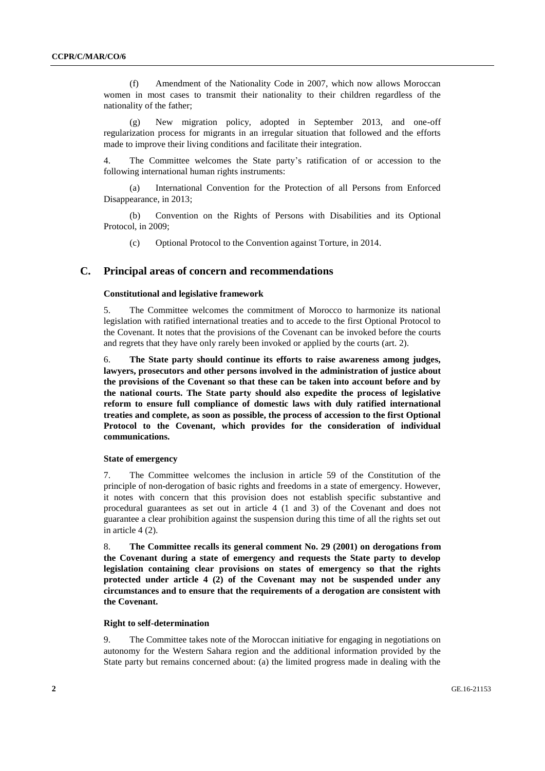(f) Amendment of the Nationality Code in 2007, which now allows Moroccan women in most cases to transmit their nationality to their children regardless of the nationality of the father;

(g) New migration policy, adopted in September 2013, and one-off regularization process for migrants in an irregular situation that followed and the efforts made to improve their living conditions and facilitate their integration.

4. The Committee welcomes the State party's ratification of or accession to the following international human rights instruments:

(a) International Convention for the Protection of all Persons from Enforced Disappearance, in 2013;

(b) Convention on the Rights of Persons with Disabilities and its Optional Protocol, in 2009;

(c) Optional Protocol to the Convention against Torture, in 2014.

# **C. Principal areas of concern and recommendations**

### **Constitutional and legislative framework**

5. The Committee welcomes the commitment of Morocco to harmonize its national legislation with ratified international treaties and to accede to the first Optional Protocol to the Covenant. It notes that the provisions of the Covenant can be invoked before the courts and regrets that they have only rarely been invoked or applied by the courts (art. 2).

6. **The State party should continue its efforts to raise awareness among judges, lawyers, prosecutors and other persons involved in the administration of justice about the provisions of the Covenant so that these can be taken into account before and by the national courts. The State party should also expedite the process of legislative reform to ensure full compliance of domestic laws with duly ratified international treaties and complete, as soon as possible, the process of accession to the first Optional Protocol to the Covenant, which provides for the consideration of individual communications.** 

# **State of emergency**

7. The Committee welcomes the inclusion in article 59 of the Constitution of the principle of non-derogation of basic rights and freedoms in a state of emergency. However, it notes with concern that this provision does not establish specific substantive and procedural guarantees as set out in article 4 (1 and 3) of the Covenant and does not guarantee a clear prohibition against the suspension during this time of all the rights set out in article 4 (2).

8. **The Committee recalls its general comment No. 29 (2001) on derogations from the Covenant during a state of emergency and requests the State party to develop legislation containing clear provisions on states of emergency so that the rights protected under article 4 (2) of the Covenant may not be suspended under any circumstances and to ensure that the requirements of a derogation are consistent with the Covenant.**

#### **Right to self-determination**

9. The Committee takes note of the Moroccan initiative for engaging in negotiations on autonomy for the Western Sahara region and the additional information provided by the State party but remains concerned about: (a) the limited progress made in dealing with the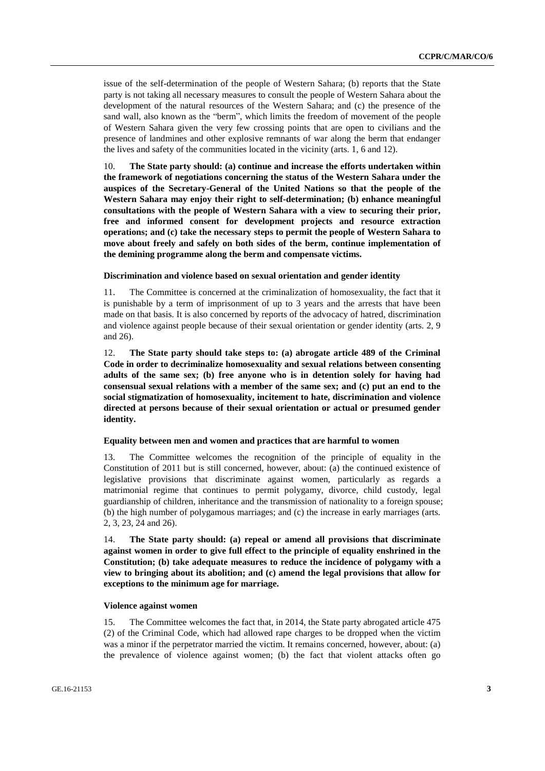issue of the self-determination of the people of Western Sahara; (b) reports that the State party is not taking all necessary measures to consult the people of Western Sahara about the development of the natural resources of the Western Sahara; and (c) the presence of the sand wall, also known as the "berm", which limits the freedom of movement of the people of Western Sahara given the very few crossing points that are open to civilians and the presence of landmines and other explosive remnants of war along the berm that endanger the lives and safety of the communities located in the vicinity (arts. 1, 6 and 12).

10. **The State party should: (a) continue and increase the efforts undertaken within the framework of negotiations concerning the status of the Western Sahara under the auspices of the Secretary-General of the United Nations so that the people of the Western Sahara may enjoy their right to self-determination; (b) enhance meaningful consultations with the people of Western Sahara with a view to securing their prior, free and informed consent for development projects and resource extraction operations; and (c) take the necessary steps to permit the people of Western Sahara to move about freely and safely on both sides of the berm, continue implementation of the demining programme along the berm and compensate victims.** 

# **Discrimination and violence based on sexual orientation and gender identity**

11. The Committee is concerned at the criminalization of homosexuality, the fact that it is punishable by a term of imprisonment of up to 3 years and the arrests that have been made on that basis. It is also concerned by reports of the advocacy of hatred, discrimination and violence against people because of their sexual orientation or gender identity (arts. 2, 9 and 26).

12. **The State party should take steps to: (a) abrogate article 489 of the Criminal Code in order to decriminalize homosexuality and sexual relations between consenting adults of the same sex; (b) free anyone who is in detention solely for having had consensual sexual relations with a member of the same sex; and (c) put an end to the social stigmatization of homosexuality, incitement to hate, discrimination and violence directed at persons because of their sexual orientation or actual or presumed gender identity.** 

#### **Equality between men and women and practices that are harmful to women**

13. The Committee welcomes the recognition of the principle of equality in the Constitution of 2011 but is still concerned, however, about: (a) the continued existence of legislative provisions that discriminate against women, particularly as regards a matrimonial regime that continues to permit polygamy, divorce, child custody, legal guardianship of children, inheritance and the transmission of nationality to a foreign spouse; (b) the high number of polygamous marriages; and (c) the increase in early marriages (arts. 2, 3, 23, 24 and 26).

14. **The State party should: (a) repeal or amend all provisions that discriminate against women in order to give full effect to the principle of equality enshrined in the Constitution; (b) take adequate measures to reduce the incidence of polygamy with a view to bringing about its abolition; and (c) amend the legal provisions that allow for exceptions to the minimum age for marriage.**

## **Violence against women**

15. The Committee welcomes the fact that, in 2014, the State party abrogated article 475 (2) of the Criminal Code, which had allowed rape charges to be dropped when the victim was a minor if the perpetrator married the victim. It remains concerned, however, about: (a) the prevalence of violence against women; (b) the fact that violent attacks often go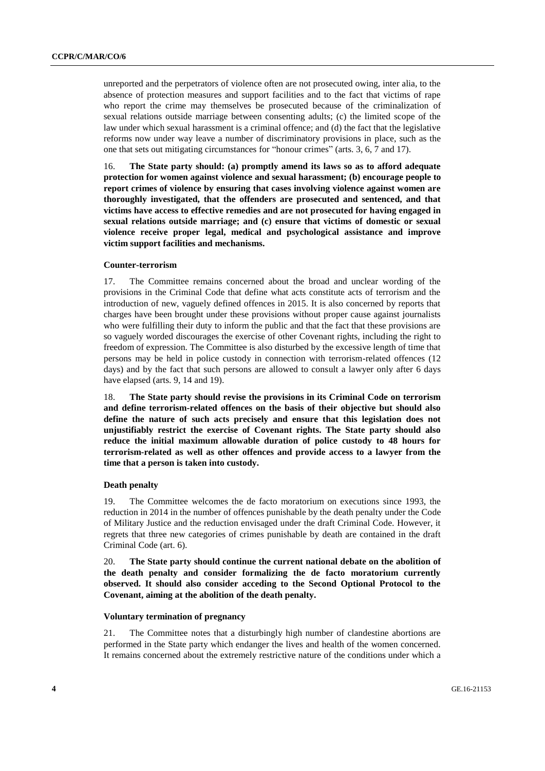unreported and the perpetrators of violence often are not prosecuted owing, inter alia, to the absence of protection measures and support facilities and to the fact that victims of rape who report the crime may themselves be prosecuted because of the criminalization of sexual relations outside marriage between consenting adults; (c) the limited scope of the law under which sexual harassment is a criminal offence; and (d) the fact that the legislative reforms now under way leave a number of discriminatory provisions in place, such as the one that sets out mitigating circumstances for "honour crimes" (arts. 3, 6, 7 and 17).

16. **The State party should: (a) promptly amend its laws so as to afford adequate protection for women against violence and sexual harassment; (b) encourage people to report crimes of violence by ensuring that cases involving violence against women are thoroughly investigated, that the offenders are prosecuted and sentenced, and that victims have access to effective remedies and are not prosecuted for having engaged in sexual relations outside marriage; and (c) ensure that victims of domestic or sexual violence receive proper legal, medical and psychological assistance and improve victim support facilities and mechanisms.** 

# **Counter-terrorism**

17. The Committee remains concerned about the broad and unclear wording of the provisions in the Criminal Code that define what acts constitute acts of terrorism and the introduction of new, vaguely defined offences in 2015. It is also concerned by reports that charges have been brought under these provisions without proper cause against journalists who were fulfilling their duty to inform the public and that the fact that these provisions are so vaguely worded discourages the exercise of other Covenant rights, including the right to freedom of expression. The Committee is also disturbed by the excessive length of time that persons may be held in police custody in connection with terrorism-related offences (12 days) and by the fact that such persons are allowed to consult a lawyer only after 6 days have elapsed (arts. 9, 14 and 19).

18. **The State party should revise the provisions in its Criminal Code on terrorism and define terrorism-related offences on the basis of their objective but should also define the nature of such acts precisely and ensure that this legislation does not unjustifiably restrict the exercise of Covenant rights. The State party should also reduce the initial maximum allowable duration of police custody to 48 hours for terrorism-related as well as other offences and provide access to a lawyer from the time that a person is taken into custody.**

#### **Death penalty**

19. The Committee welcomes the de facto moratorium on executions since 1993, the reduction in 2014 in the number of offences punishable by the death penalty under the Code of Military Justice and the reduction envisaged under the draft Criminal Code. However, it regrets that three new categories of crimes punishable by death are contained in the draft Criminal Code (art. 6).

20. **The State party should continue the current national debate on the abolition of the death penalty and consider formalizing the de facto moratorium currently observed. It should also consider acceding to the Second Optional Protocol to the Covenant, aiming at the abolition of the death penalty.**

### **Voluntary termination of pregnancy**

21. The Committee notes that a disturbingly high number of clandestine abortions are performed in the State party which endanger the lives and health of the women concerned. It remains concerned about the extremely restrictive nature of the conditions under which a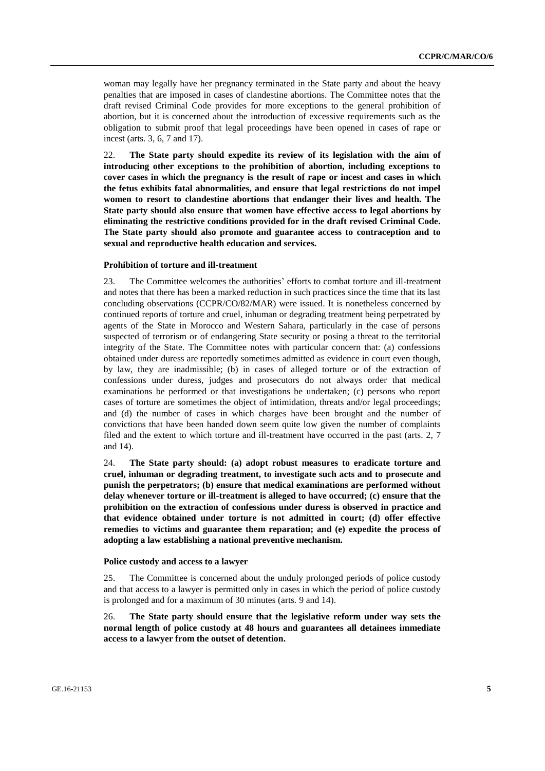woman may legally have her pregnancy terminated in the State party and about the heavy penalties that are imposed in cases of clandestine abortions. The Committee notes that the draft revised Criminal Code provides for more exceptions to the general prohibition of abortion, but it is concerned about the introduction of excessive requirements such as the obligation to submit proof that legal proceedings have been opened in cases of rape or incest (arts. 3, 6, 7 and 17).

22. **The State party should expedite its review of its legislation with the aim of introducing other exceptions to the prohibition of abortion, including exceptions to cover cases in which the pregnancy is the result of rape or incest and cases in which the fetus exhibits fatal abnormalities, and ensure that legal restrictions do not impel women to resort to clandestine abortions that endanger their lives and health. The State party should also ensure that women have effective access to legal abortions by eliminating the restrictive conditions provided for in the draft revised Criminal Code. The State party should also promote and guarantee access to contraception and to sexual and reproductive health education and services.**

# **Prohibition of torture and ill-treatment**

23. The Committee welcomes the authorities' efforts to combat torture and ill-treatment and notes that there has been a marked reduction in such practices since the time that its last concluding observations (CCPR/CO/82/MAR) were issued. It is nonetheless concerned by continued reports of torture and cruel, inhuman or degrading treatment being perpetrated by agents of the State in Morocco and Western Sahara, particularly in the case of persons suspected of terrorism or of endangering State security or posing a threat to the territorial integrity of the State. The Committee notes with particular concern that: (a) confessions obtained under duress are reportedly sometimes admitted as evidence in court even though, by law, they are inadmissible; (b) in cases of alleged torture or of the extraction of confessions under duress, judges and prosecutors do not always order that medical examinations be performed or that investigations be undertaken; (c) persons who report cases of torture are sometimes the object of intimidation, threats and/or legal proceedings; and (d) the number of cases in which charges have been brought and the number of convictions that have been handed down seem quite low given the number of complaints filed and the extent to which torture and ill-treatment have occurred in the past (arts. 2, 7 and 14).

24. **The State party should: (a) adopt robust measures to eradicate torture and cruel, inhuman or degrading treatment, to investigate such acts and to prosecute and punish the perpetrators; (b) ensure that medical examinations are performed without delay whenever torture or ill-treatment is alleged to have occurred; (c) ensure that the prohibition on the extraction of confessions under duress is observed in practice and that evidence obtained under torture is not admitted in court; (d) offer effective remedies to victims and guarantee them reparation; and (e) expedite the process of adopting a law establishing a national preventive mechanism.**

### **Police custody and access to a lawyer**

25. The Committee is concerned about the unduly prolonged periods of police custody and that access to a lawyer is permitted only in cases in which the period of police custody is prolonged and for a maximum of 30 minutes (arts. 9 and 14).

26. **The State party should ensure that the legislative reform under way sets the normal length of police custody at 48 hours and guarantees all detainees immediate access to a lawyer from the outset of detention.**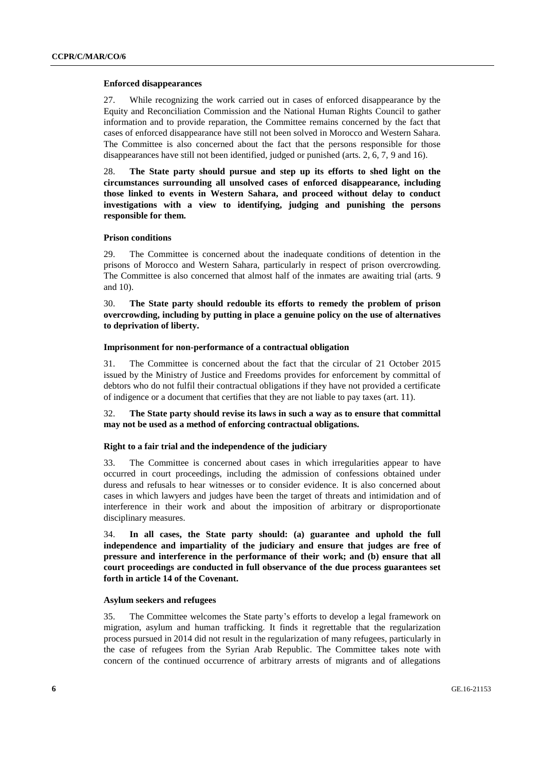# **Enforced disappearances**

27. While recognizing the work carried out in cases of enforced disappearance by the Equity and Reconciliation Commission and the National Human Rights Council to gather information and to provide reparation, the Committee remains concerned by the fact that cases of enforced disappearance have still not been solved in Morocco and Western Sahara. The Committee is also concerned about the fact that the persons responsible for those disappearances have still not been identified, judged or punished (arts. 2, 6, 7, 9 and 16).

28. **The State party should pursue and step up its efforts to shed light on the circumstances surrounding all unsolved cases of enforced disappearance, including those linked to events in Western Sahara, and proceed without delay to conduct investigations with a view to identifying, judging and punishing the persons responsible for them.** 

# **Prison conditions**

29. The Committee is concerned about the inadequate conditions of detention in the prisons of Morocco and Western Sahara, particularly in respect of prison overcrowding. The Committee is also concerned that almost half of the inmates are awaiting trial (arts. 9 and 10).

30. **The State party should redouble its efforts to remedy the problem of prison overcrowding, including by putting in place a genuine policy on the use of alternatives to deprivation of liberty.** 

# **Imprisonment for non-performance of a contractual obligation**

31. The Committee is concerned about the fact that the circular of 21 October 2015 issued by the Ministry of Justice and Freedoms provides for enforcement by committal of debtors who do not fulfil their contractual obligations if they have not provided a certificate of indigence or a document that certifies that they are not liable to pay taxes (art. 11).

# 32. **The State party should revise its laws in such a way as to ensure that committal may not be used as a method of enforcing contractual obligations.**

# **Right to a fair trial and the independence of the judiciary**

33. The Committee is concerned about cases in which irregularities appear to have occurred in court proceedings, including the admission of confessions obtained under duress and refusals to hear witnesses or to consider evidence. It is also concerned about cases in which lawyers and judges have been the target of threats and intimidation and of interference in their work and about the imposition of arbitrary or disproportionate disciplinary measures.

34. **In all cases, the State party should: (a) guarantee and uphold the full independence and impartiality of the judiciary and ensure that judges are free of pressure and interference in the performance of their work; and (b) ensure that all court proceedings are conducted in full observance of the due process guarantees set forth in article 14 of the Covenant.** 

### **Asylum seekers and refugees**

35. The Committee welcomes the State party's efforts to develop a legal framework on migration, asylum and human trafficking. It finds it regrettable that the regularization process pursued in 2014 did not result in the regularization of many refugees, particularly in the case of refugees from the Syrian Arab Republic. The Committee takes note with concern of the continued occurrence of arbitrary arrests of migrants and of allegations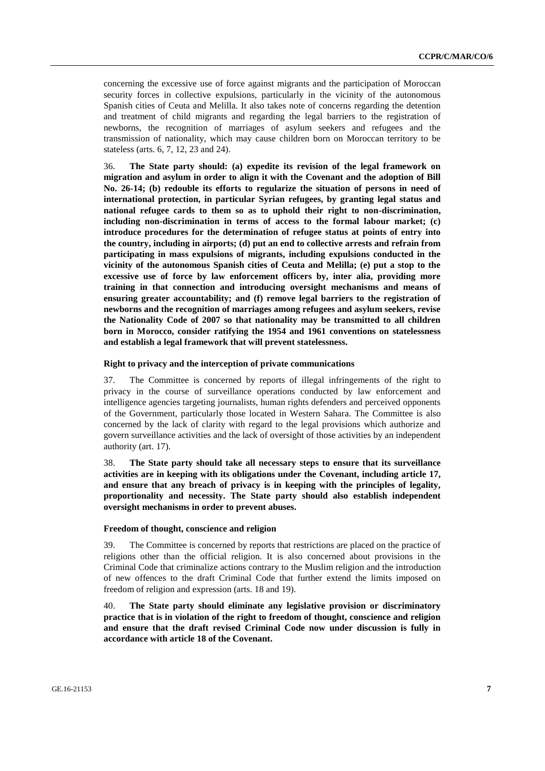concerning the excessive use of force against migrants and the participation of Moroccan security forces in collective expulsions, particularly in the vicinity of the autonomous Spanish cities of Ceuta and Melilla. It also takes note of concerns regarding the detention and treatment of child migrants and regarding the legal barriers to the registration of newborns, the recognition of marriages of asylum seekers and refugees and the transmission of nationality, which may cause children born on Moroccan territory to be stateless (arts. 6, 7, 12, 23 and 24).

36. **The State party should: (a) expedite its revision of the legal framework on migration and asylum in order to align it with the Covenant and the adoption of Bill No. 26-14; (b) redouble its efforts to regularize the situation of persons in need of international protection, in particular Syrian refugees, by granting legal status and national refugee cards to them so as to uphold their right to non-discrimination, including non-discrimination in terms of access to the formal labour market; (c) introduce procedures for the determination of refugee status at points of entry into the country, including in airports; (d) put an end to collective arrests and refrain from participating in mass expulsions of migrants, including expulsions conducted in the vicinity of the autonomous Spanish cities of Ceuta and Melilla; (e) put a stop to the excessive use of force by law enforcement officers by, inter alia, providing more training in that connection and introducing oversight mechanisms and means of ensuring greater accountability; and (f) remove legal barriers to the registration of newborns and the recognition of marriages among refugees and asylum seekers, revise the Nationality Code of 2007 so that nationality may be transmitted to all children born in Morocco, consider ratifying the 1954 and 1961 conventions on statelessness and establish a legal framework that will prevent statelessness.** 

#### **Right to privacy and the interception of private communications**

37. The Committee is concerned by reports of illegal infringements of the right to privacy in the course of surveillance operations conducted by law enforcement and intelligence agencies targeting journalists, human rights defenders and perceived opponents of the Government, particularly those located in Western Sahara. The Committee is also concerned by the lack of clarity with regard to the legal provisions which authorize and govern surveillance activities and the lack of oversight of those activities by an independent authority (art. 17).

38. **The State party should take all necessary steps to ensure that its surveillance activities are in keeping with its obligations under the Covenant, including article 17, and ensure that any breach of privacy is in keeping with the principles of legality, proportionality and necessity. The State party should also establish independent oversight mechanisms in order to prevent abuses.**

#### **Freedom of thought, conscience and religion**

39. The Committee is concerned by reports that restrictions are placed on the practice of religions other than the official religion. It is also concerned about provisions in the Criminal Code that criminalize actions contrary to the Muslim religion and the introduction of new offences to the draft Criminal Code that further extend the limits imposed on freedom of religion and expression (arts. 18 and 19).

40. **The State party should eliminate any legislative provision or discriminatory practice that is in violation of the right to freedom of thought, conscience and religion and ensure that the draft revised Criminal Code now under discussion is fully in accordance with article 18 of the Covenant.**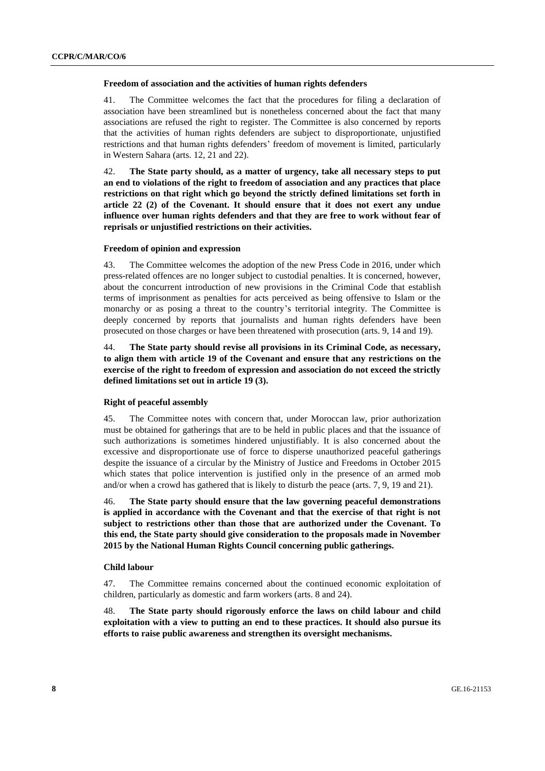# **Freedom of association and the activities of human rights defenders**

41. The Committee welcomes the fact that the procedures for filing a declaration of association have been streamlined but is nonetheless concerned about the fact that many associations are refused the right to register. The Committee is also concerned by reports that the activities of human rights defenders are subject to disproportionate, unjustified restrictions and that human rights defenders' freedom of movement is limited, particularly in Western Sahara (arts. 12, 21 and 22).

42. **The State party should, as a matter of urgency, take all necessary steps to put an end to violations of the right to freedom of association and any practices that place restrictions on that right which go beyond the strictly defined limitations set forth in article 22 (2) of the Covenant. It should ensure that it does not exert any undue influence over human rights defenders and that they are free to work without fear of reprisals or unjustified restrictions on their activities.** 

### **Freedom of opinion and expression**

43. The Committee welcomes the adoption of the new Press Code in 2016, under which press-related offences are no longer subject to custodial penalties. It is concerned, however, about the concurrent introduction of new provisions in the Criminal Code that establish terms of imprisonment as penalties for acts perceived as being offensive to Islam or the monarchy or as posing a threat to the country's territorial integrity. The Committee is deeply concerned by reports that journalists and human rights defenders have been prosecuted on those charges or have been threatened with prosecution (arts. 9, 14 and 19).

44. **The State party should revise all provisions in its Criminal Code, as necessary, to align them with article 19 of the Covenant and ensure that any restrictions on the exercise of the right to freedom of expression and association do not exceed the strictly defined limitations set out in article 19 (3).** 

#### **Right of peaceful assembly**

45. The Committee notes with concern that, under Moroccan law, prior authorization must be obtained for gatherings that are to be held in public places and that the issuance of such authorizations is sometimes hindered unjustifiably. It is also concerned about the excessive and disproportionate use of force to disperse unauthorized peaceful gatherings despite the issuance of a circular by the Ministry of Justice and Freedoms in October 2015 which states that police intervention is justified only in the presence of an armed mob and/or when a crowd has gathered that is likely to disturb the peace (arts. 7, 9, 19 and 21).

46. **The State party should ensure that the law governing peaceful demonstrations is applied in accordance with the Covenant and that the exercise of that right is not subject to restrictions other than those that are authorized under the Covenant. To this end, the State party should give consideration to the proposals made in November 2015 by the National Human Rights Council concerning public gatherings.** 

#### **Child labour**

47. The Committee remains concerned about the continued economic exploitation of children, particularly as domestic and farm workers (arts. 8 and 24).

48. **The State party should rigorously enforce the laws on child labour and child exploitation with a view to putting an end to these practices. It should also pursue its efforts to raise public awareness and strengthen its oversight mechanisms.**